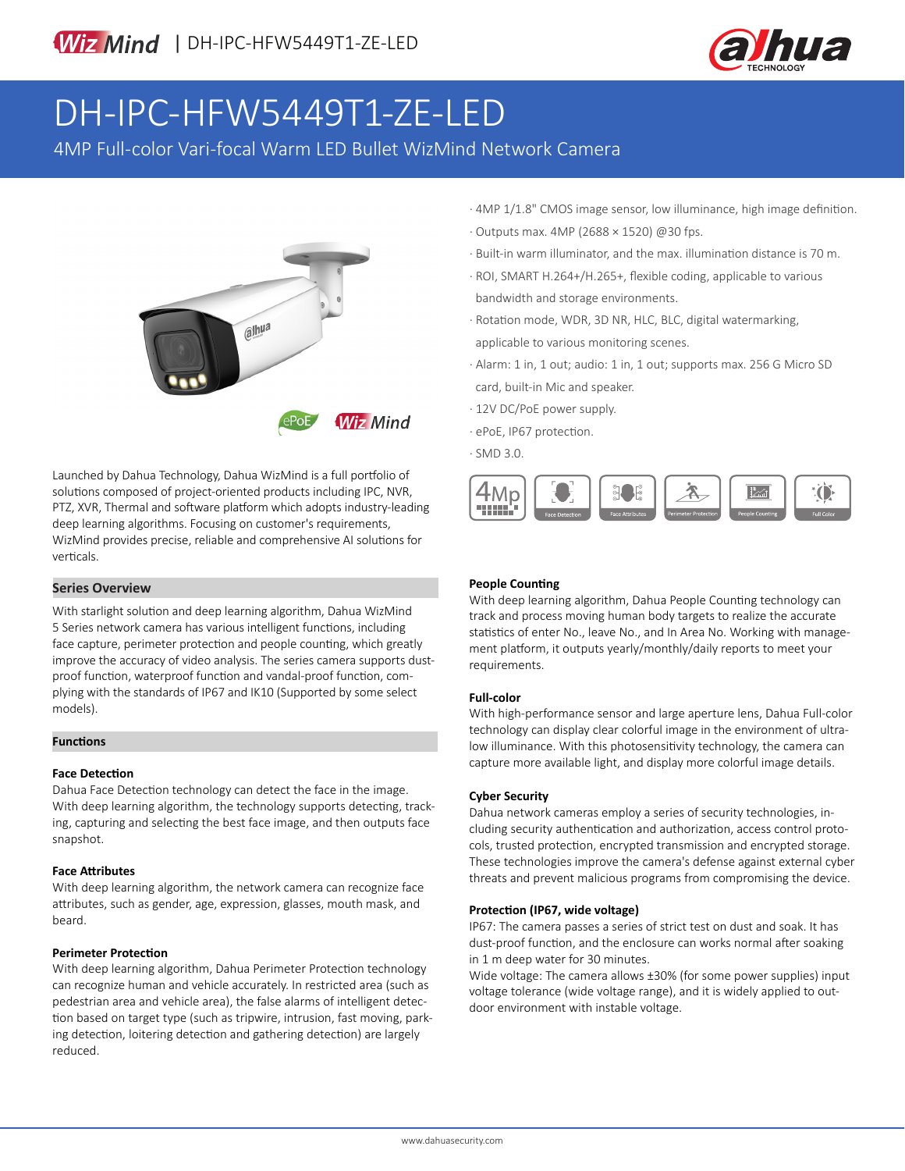

# DH-IPC-HFW5449T1-ZE-LED

4MP Full-color Vari-focal Warm LED Bullet WizMind Network Camera



Launched by Dahua Technology, Dahua WizMind is a full portfolio of solutions composed of project-oriented products including IPC, NVR, PTZ, XVR, Thermal and software platform which adopts industry-leading deep learning algorithms. Focusing on customer's requirements, WizMind provides precise, reliable and comprehensive AI solutions for verticals.

# **Series Overview**

With starlight solution and deep learning algorithm, Dahua WizMind 5 Series network camera has various intelligent functions, including face capture, perimeter protection and people counting, which greatly improve the accuracy of video analysis. The series camera supports dustproof function, waterproof function and vandal-proof function, complying with the standards of IP67 and IK10 (Supported by some select models).

## **Functions**

#### **Face Detection**

Dahua Face Detection technology can detect the face in the image. With deep learning algorithm, the technology supports detecting, tracking, capturing and selecting the best face image, and then outputs face snapshot.

#### **Face Attributes**

With deep learning algorithm, the network camera can recognize face attributes, such as gender, age, expression, glasses, mouth mask, and beard.

#### **Perimeter Protection**

With deep learning algorithm, Dahua Perimeter Protection technology can recognize human and vehicle accurately. In restricted area (such as pedestrian area and vehicle area), the false alarms of intelligent detection based on target type (such as tripwire, intrusion, fast moving, parking detection, loitering detection and gathering detection) are largely reduced.

- · 4MP 1/1.8" CMOS image sensor, low illuminance, high image definition. · Outputs max. 4MP (2688 × 1520) @30 fps.
- · Built-in warm illuminator, and the max. illumination distance is 70 m.
- · ROI, SMART H.264+/H.265+, flexible coding, applicable to various bandwidth and storage environments.
- · Rotation mode, WDR, 3D NR, HLC, BLC, digital watermarking, applicable to various monitoring scenes.
- · Alarm: 1 in, 1 out; audio: 1 in, 1 out; supports max. 256 G Micro SD card, built-in Mic and speaker.
- · 12V DC/PoE power supply.
- · ePoE, IP67 protection.
- · SMD 3.0.



## **People Counting**

With deep learning algorithm, Dahua People Counting technology can track and process moving human body targets to realize the accurate statistics of enter No., leave No., and In Area No. Working with management platform, it outputs yearly/monthly/daily reports to meet your requirements.

#### **Full-color**

With high-performance sensor and large aperture lens, Dahua Full-color technology can display clear colorful image in the environment of ultralow illuminance. With this photosensitivity technology, the camera can capture more available light, and display more colorful image details.

#### **Cyber Security**

Dahua network cameras employ a series of security technologies, including security authentication and authorization, access control protocols, trusted protection, encrypted transmission and encrypted storage. These technologies improve the camera's defense against external cyber threats and prevent malicious programs from compromising the device.

#### **Protection (IP67, wide voltage)**

IP67: The camera passes a series of strict test on dust and soak. It has dust-proof function, and the enclosure can works normal after soaking in 1 m deep water for 30 minutes.

Wide voltage: The camera allows ±30% (for some power supplies) input voltage tolerance (wide voltage range), and it is widely applied to outdoor environment with instable voltage.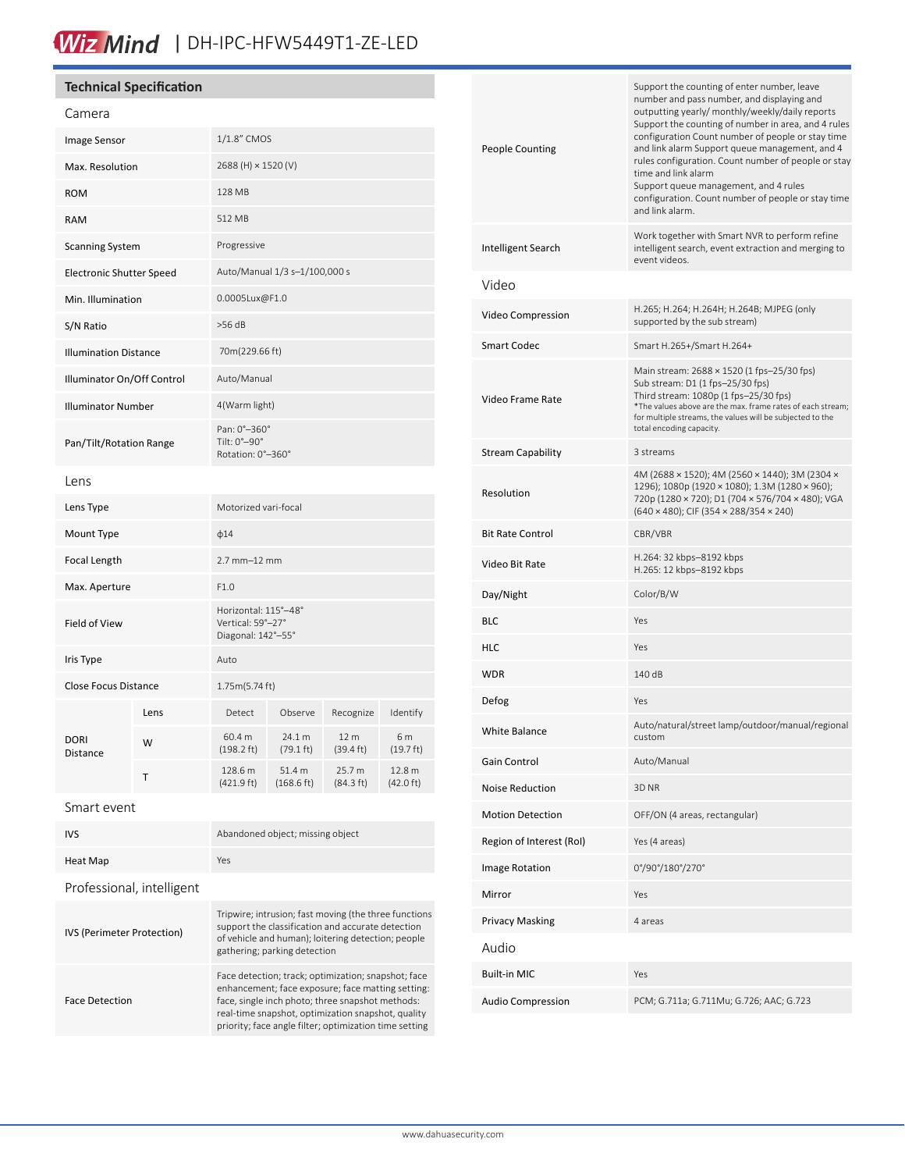# Wiz Mind | DH-IPC-HFW5449T1-ZE-LED

# **Technical Specification**

| Camera                          |      |                                                                 |                               |                               |                               |
|---------------------------------|------|-----------------------------------------------------------------|-------------------------------|-------------------------------|-------------------------------|
| Image Sensor                    |      | 1/1.8" CMOS                                                     |                               |                               |                               |
| Max. Resolution                 |      | 2688 (H) × 1520 (V)                                             |                               |                               |                               |
| <b>ROM</b>                      |      | 128 MB                                                          |                               |                               |                               |
| <b>RAM</b>                      |      | 512 MB                                                          |                               |                               |                               |
| <b>Scanning System</b>          |      | Progressive                                                     |                               |                               |                               |
| <b>Electronic Shutter Speed</b> |      | Auto/Manual 1/3 s-1/100,000 s                                   |                               |                               |                               |
| Min. Illumination               |      | 0.0005Lux@F1.0                                                  |                               |                               |                               |
| S/N Ratio                       |      | $>56$ dB                                                        |                               |                               |                               |
| <b>Illumination Distance</b>    |      | 70m(229.66 ft)                                                  |                               |                               |                               |
| Illuminator On/Off Control      |      | Auto/Manual                                                     |                               |                               |                               |
| <b>Illuminator Number</b>       |      | 4(Warm light)                                                   |                               |                               |                               |
| Pan/Tilt/Rotation Range         |      | Pan: 0°-360°<br>Tilt: 0°-90°<br>Rotation: 0°-360°               |                               |                               |                               |
| Lens                            |      |                                                                 |                               |                               |                               |
| Lens Type                       |      | Motorized vari-focal                                            |                               |                               |                               |
| Mount Type                      |      | $\phi$ 14                                                       |                               |                               |                               |
| Focal Length                    |      | $2.7$ mm $-12$ mm                                               |                               |                               |                               |
| Max. Aperture                   |      | F1.0                                                            |                               |                               |                               |
| Field of View                   |      | Horizontal: 115°-48°<br>Vertical: 59°-27°<br>Diagonal: 142°-55° |                               |                               |                               |
| Iris Type                       |      | Auto                                                            |                               |                               |                               |
| <b>Close Focus Distance</b>     |      | 1.75m(5.74 ft)                                                  |                               |                               |                               |
| <b>DORI</b><br>Distance         | Lens | Detect                                                          | Observe                       | Recognize                     | Identify                      |
|                                 | W    | 60.4 m<br>$(198.2 \text{ ft})$                                  | 24.1 m<br>$(79.1 \text{ ft})$ | 12 m<br>$(39.4 \text{ ft})$   | 6 m<br>$(19.7 \text{ ft})$    |
|                                 | Т    | 128.6 m<br>(421.9 ft)                                           | 51.4 m<br>(168.6 ft)          | 25.7 m<br>$(84.3 \text{ ft})$ | 12.8 m<br>$(42.0 \text{ ft})$ |
| Smart event                     |      |                                                                 |                               |                               |                               |

| <b>IVS</b>                 | Abandoned object; missing object                                                                                                                                                                                                                                             |
|----------------------------|------------------------------------------------------------------------------------------------------------------------------------------------------------------------------------------------------------------------------------------------------------------------------|
| Heat Map                   | Yes                                                                                                                                                                                                                                                                          |
| Professional, intelligent  |                                                                                                                                                                                                                                                                              |
| IVS (Perimeter Protection) | Tripwire; intrusion; fast moving (the three functions<br>support the classification and accurate detection<br>of vehicle and human); loitering detection; people<br>gathering; parking detection                                                                             |
| <b>Face Detection</b>      | Face detection; track; optimization; snapshot; face<br>enhancement; face exposure; face matting setting:<br>face, single inch photo; three snapshot methods:<br>real-time snapshot, optimization snapshot, quality<br>priority; face angle filter; optimization time setting |

| People Counting          | Support the counting of enter number, leave<br>number and pass number, and displaying and<br>outputting yearly/ monthly/weekly/daily reports<br>Support the counting of number in area, and 4 rules<br>configuration Count number of people or stay time<br>and link alarm Support queue management, and 4<br>rules configuration. Count number of people or stay<br>time and link alarm<br>Support queue management, and 4 rules<br>configuration. Count number of people or stay time<br>and link alarm. |
|--------------------------|------------------------------------------------------------------------------------------------------------------------------------------------------------------------------------------------------------------------------------------------------------------------------------------------------------------------------------------------------------------------------------------------------------------------------------------------------------------------------------------------------------|
| Intelligent Search       | Work together with Smart NVR to perform refine<br>intelligent search, event extraction and merging to<br>event videos.                                                                                                                                                                                                                                                                                                                                                                                     |
| Video                    |                                                                                                                                                                                                                                                                                                                                                                                                                                                                                                            |
| Video Compression        | H.265; H.264; H.264H; H.264B; MJPEG (only<br>supported by the sub stream)                                                                                                                                                                                                                                                                                                                                                                                                                                  |
| Smart Codec              | Smart H.265+/Smart H.264+                                                                                                                                                                                                                                                                                                                                                                                                                                                                                  |
| Video Frame Rate         | Main stream: 2688 × 1520 (1 fps-25/30 fps)<br>Sub stream: D1 (1 fps-25/30 fps)<br>Third stream: 1080p (1 fps-25/30 fps)<br>*The values above are the max. frame rates of each stream;<br>for multiple streams, the values will be subjected to the<br>total encoding capacity.                                                                                                                                                                                                                             |
| Stream Capability        | 3 streams                                                                                                                                                                                                                                                                                                                                                                                                                                                                                                  |
| Resolution               | 4M (2688 × 1520); 4M (2560 × 1440); 3M (2304 ×<br>1296); 1080p (1920 × 1080); 1.3M (1280 × 960);<br>720p (1280 × 720); D1 (704 × 576/704 × 480); VGA<br>$(640 \times 480)$ ; CIF $(354 \times 288/354 \times 240)$                                                                                                                                                                                                                                                                                         |
| Bit Rate Control         | CBR/VBR                                                                                                                                                                                                                                                                                                                                                                                                                                                                                                    |
| Video Bit Rate           | H.264: 32 kbps-8192 kbps<br>H.265: 12 kbps-8192 kbps                                                                                                                                                                                                                                                                                                                                                                                                                                                       |
| Day/Night                | Color/B/W                                                                                                                                                                                                                                                                                                                                                                                                                                                                                                  |
| BLC                      | Yes                                                                                                                                                                                                                                                                                                                                                                                                                                                                                                        |
| HLC                      | Yes                                                                                                                                                                                                                                                                                                                                                                                                                                                                                                        |
| WDR                      | 140 dB                                                                                                                                                                                                                                                                                                                                                                                                                                                                                                     |
| Defog                    | Yes                                                                                                                                                                                                                                                                                                                                                                                                                                                                                                        |
| <b>White Balance</b>     | Auto/natural/street lamp/outdoor/manual/regional                                                                                                                                                                                                                                                                                                                                                                                                                                                           |
| Gain Control             | Auto/Manual                                                                                                                                                                                                                                                                                                                                                                                                                                                                                                |
| Noise Reduction          | 3D <sub>NR</sub>                                                                                                                                                                                                                                                                                                                                                                                                                                                                                           |
| <b>Motion Detection</b>  | OFF/ON (4 areas, rectangular)                                                                                                                                                                                                                                                                                                                                                                                                                                                                              |
| Region of Interest (RoI) | Yes (4 areas)                                                                                                                                                                                                                                                                                                                                                                                                                                                                                              |
| <b>Image Rotation</b>    | 0°/90°/180°/270°                                                                                                                                                                                                                                                                                                                                                                                                                                                                                           |
| Mirror                   | Yes                                                                                                                                                                                                                                                                                                                                                                                                                                                                                                        |
| Privacy Masking          | 4 areas                                                                                                                                                                                                                                                                                                                                                                                                                                                                                                    |
| Audio                    |                                                                                                                                                                                                                                                                                                                                                                                                                                                                                                            |
| <b>Built-in MIC</b>      | Yes                                                                                                                                                                                                                                                                                                                                                                                                                                                                                                        |
| <b>Audio Compression</b> | PCM; G.711a; G.711Mu; G.726; AAC; G.723                                                                                                                                                                                                                                                                                                                                                                                                                                                                    |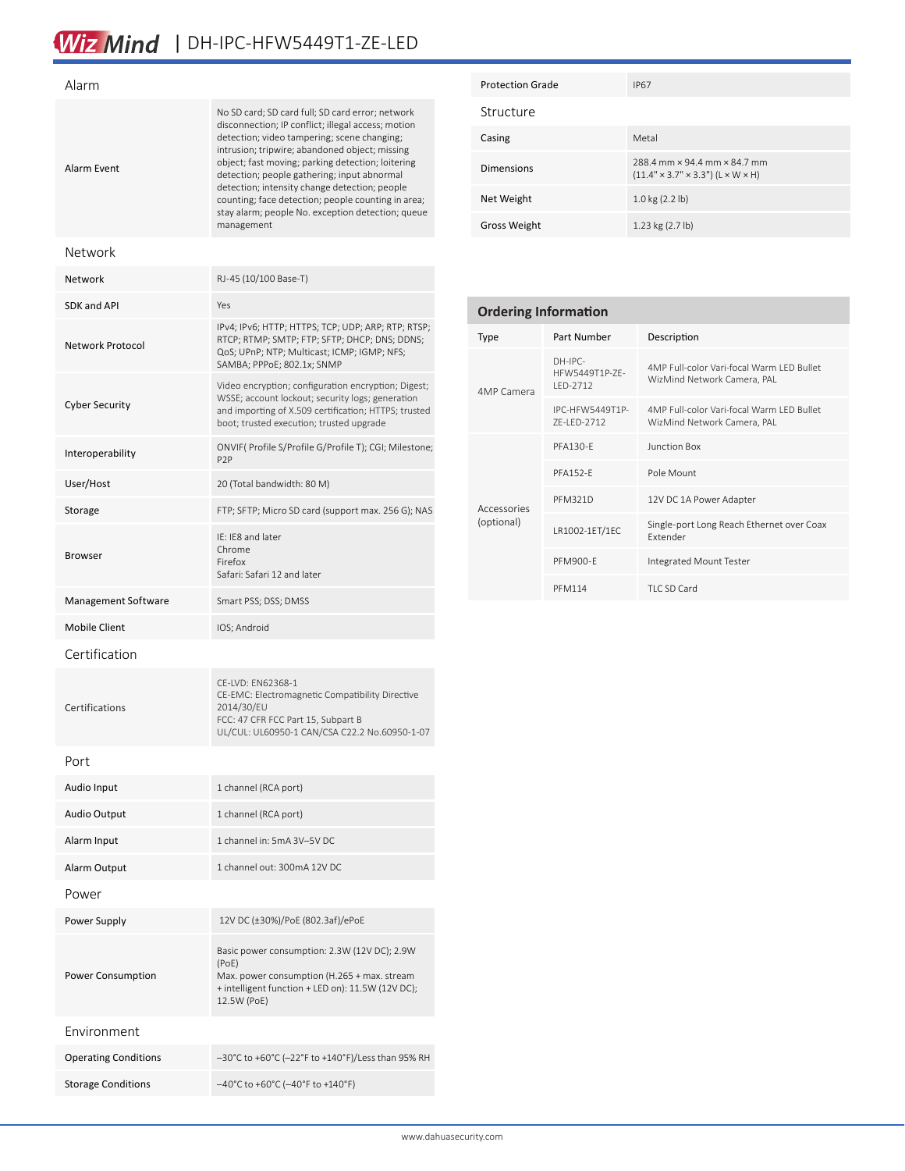# Wiz Mind | DH-IPC-HFW5449T1-ZE-LED

| Alarm                 |                                                                                                                                                                                                                                                                                                                                                                                                                                                                                       |
|-----------------------|---------------------------------------------------------------------------------------------------------------------------------------------------------------------------------------------------------------------------------------------------------------------------------------------------------------------------------------------------------------------------------------------------------------------------------------------------------------------------------------|
| Alarm Event           | No SD card; SD card full; SD card error; network<br>disconnection; IP conflict; illegal access; motion<br>detection; video tampering; scene changing;<br>intrusion; tripwire; abandoned object; missing<br>object; fast moving; parking detection; loitering<br>detection; people gathering; input abnormal<br>detection; intensity change detection; people<br>counting; face detection; people counting in area;<br>stay alarm; people No. exception detection; queue<br>management |
| Network               |                                                                                                                                                                                                                                                                                                                                                                                                                                                                                       |
| Network               | RJ-45 (10/100 Base-T)                                                                                                                                                                                                                                                                                                                                                                                                                                                                 |
| <b>SDK and API</b>    | Yes                                                                                                                                                                                                                                                                                                                                                                                                                                                                                   |
| Network Protocol      | IPv4; IPv6; HTTP; HTTPS; TCP; UDP; ARP; RTP; RTSP;<br>RTCP; RTMP; SMTP; FTP; SFTP; DHCP; DNS; DDNS;<br>QoS; UPnP; NTP; Multicast; ICMP; IGMP; NFS;<br>SAMBA; PPPoE; 802.1x; SNMP                                                                                                                                                                                                                                                                                                      |
| <b>Cyber Security</b> | Video encryption; configuration encryption; Digest;<br>WSSE; account lockout; security logs; generation<br>and importing of X.509 certification; HTTPS; trusted<br>boot; trusted execution; trusted upgrade                                                                                                                                                                                                                                                                           |
| Interoperability      | ONVIF(Profile S/Profile G/Profile T); CGI; Milestone;<br>P <sub>2</sub> P                                                                                                                                                                                                                                                                                                                                                                                                             |
| User/Host             | 20 (Total bandwidth: 80 M)                                                                                                                                                                                                                                                                                                                                                                                                                                                            |
| Storage               | FTP; SFTP; Micro SD card (support max. 256 G); NAS                                                                                                                                                                                                                                                                                                                                                                                                                                    |
| Browser               | IE: IE8 and later<br>Chrome<br>Firefox<br>Safari: Safari 12 and later                                                                                                                                                                                                                                                                                                                                                                                                                 |
| Management Software   | Smart PSS; DSS; DMSS                                                                                                                                                                                                                                                                                                                                                                                                                                                                  |
| <b>Mobile Client</b>  | IOS; Android                                                                                                                                                                                                                                                                                                                                                                                                                                                                          |
| Certification         |                                                                                                                                                                                                                                                                                                                                                                                                                                                                                       |
| Certifications        | CF-IVD: FN62368-1<br>CE-EMC: Electromagnetic Compatibility Directive<br>2014/30/EU<br>FCC: 47 CFR FCC Part 15, Subpart B<br>UL/CUL: UL60950-1 CAN/CSA C22.2 No.60950-1-07                                                                                                                                                                                                                                                                                                             |
| Port                  |                                                                                                                                                                                                                                                                                                                                                                                                                                                                                       |
| Audio Input           | 1 channel (RCA port)                                                                                                                                                                                                                                                                                                                                                                                                                                                                  |
| Audio Output          | 1 channel (RCA port)                                                                                                                                                                                                                                                                                                                                                                                                                                                                  |
| Alarm Input           | 1 channel in: 5mA 3V-5V DC                                                                                                                                                                                                                                                                                                                                                                                                                                                            |
| Alarm Output          | 1 channel out: 300mA 12V DC                                                                                                                                                                                                                                                                                                                                                                                                                                                           |
| Power                 |                                                                                                                                                                                                                                                                                                                                                                                                                                                                                       |

Power Supply 12V DC (±30%)/PoE (802.3af)/ePoE

Storage Conditions –40°C to +60°C (–40°F to +140°F)

(PoE)

12.5W (PoE)

Operating Conditions –30°C to +60°C (-22°F to +140°F)/Less than 95% RH

Basic power consumption: 2.3W (12V DC); 2.9W

Max. power consumption (H.265 + max. stream + intelligent function + LED on): 11.5W (12V DC);

Power Consumption

Environment

| <b>Protection Grade</b> | <b>IP67</b>                                                                                 |
|-------------------------|---------------------------------------------------------------------------------------------|
| Structure               |                                                                                             |
| Casing                  | Metal                                                                                       |
| <b>Dimensions</b>       | 288 4 mm x 94 4 mm x 84 7 mm<br>$(11.4" \times 3.7" \times 3.3")$ (L $\times$ W $\times$ H) |
| Net Weight              | $1.0 \text{ kg} (2.2 \text{ lb})$                                                           |
| Gross Weight            | 1.23 kg (2.7 lb)                                                                            |

| <b>Ordering Information</b> |                                           |                                                                          |  |  |
|-----------------------------|-------------------------------------------|--------------------------------------------------------------------------|--|--|
| <b>Type</b>                 | Part Number                               | Description                                                              |  |  |
| 4MP Camera                  | $DH-IPC-$<br>HFW5449T1P-7F-<br>$IFD-2712$ | 4MP Full-color Vari-focal Warm LED Bullet<br>WizMind Network Camera, PAL |  |  |
|                             | IPC-HFW5449T1P-<br>7F-I FD-2712           | 4MP Full-color Vari-focal Warm LED Bullet<br>WizMind Network Camera, PAL |  |  |
| Accessories<br>(optional)   | <b>PFA130-F</b>                           | <b>Junction Box</b>                                                      |  |  |
|                             | <b>PFA152-F</b>                           | Pole Mount                                                               |  |  |
|                             | <b>PFM321D</b>                            | 12V DC 1A Power Adapter                                                  |  |  |
|                             | LR1002-1ET/1EC                            | Single-port Long Reach Ethernet over Coax<br><b>Fxtender</b>             |  |  |
|                             | <b>PFM900-F</b>                           | Integrated Mount Tester                                                  |  |  |
|                             | <b>PFM114</b>                             | TLC SD Card                                                              |  |  |